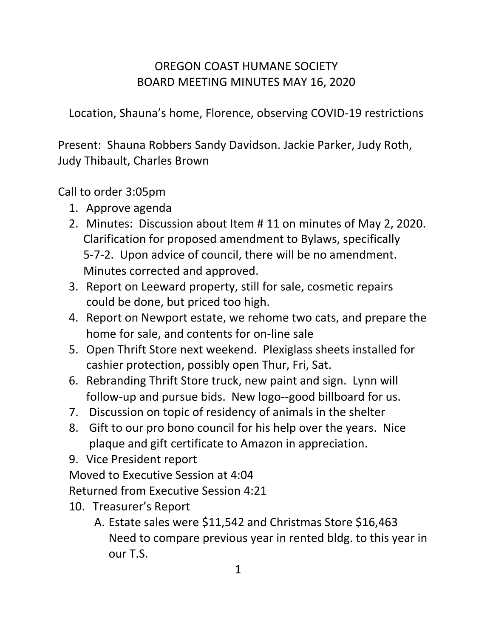# OREGON COAST HUMANE SOCIETY BOARD MEETING MINUTES MAY 16, 2020

Location, Shauna's home, Florence, observing COVID-19 restrictions

Present: Shauna Robbers Sandy Davidson. Jackie Parker, Judy Roth, Judy Thibault, Charles Brown

### Call to order 3:05pm

- 1. Approve agenda
- 2. Minutes: Discussion about Item # 11 on minutes of May 2, 2020. Clarification for proposed amendment to Bylaws, specifically 5-7-2. Upon advice of council, there will be no amendment. Minutes corrected and approved.
- 3. Report on Leeward property, still for sale, cosmetic repairs could be done, but priced too high.
- 4. Report on Newport estate, we rehome two cats, and prepare the home for sale, and contents for on-line sale
- 5. Open Thrift Store next weekend. Plexiglass sheets installed for cashier protection, possibly open Thur, Fri, Sat.
- 6. Rebranding Thrift Store truck, new paint and sign. Lynn will follow-up and pursue bids. New logo--good billboard for us.
- 7. Discussion on topic of residency of animals in the shelter
- 8. Gift to our pro bono council for his help over the years. Nice plaque and gift certificate to Amazon in appreciation.
- 9. Vice President report

Moved to Executive Session at 4:04

Returned from Executive Session 4:21

- 10. Treasurer's Report
	- A. Estate sales were \$11,542 and Christmas Store \$16,463 Need to compare previous year in rented bldg. to this year in our T.S.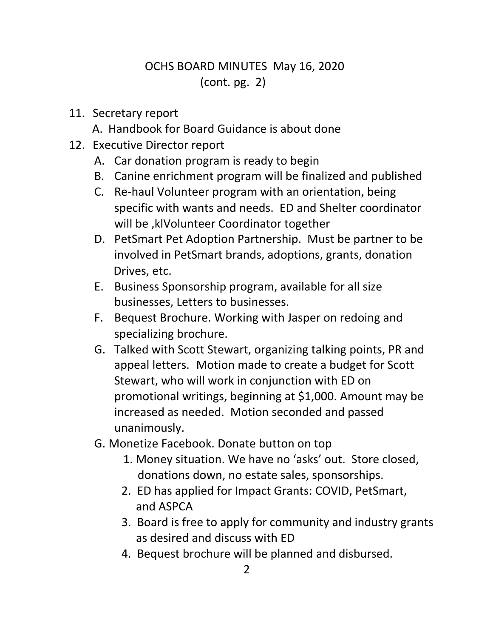# OCHS BOARD MINUTES May 16, 2020 (cont. pg. 2)

#### 11. Secretary report

A. Handbook for Board Guidance is about done

- 12. Executive Director report
	- A. Car donation program is ready to begin
	- B. Canine enrichment program will be finalized and published
	- C. Re-haul Volunteer program with an orientation, being specific with wants and needs. ED and Shelter coordinator will be ,klVolunteer Coordinator together
	- D. PetSmart Pet Adoption Partnership. Must be partner to be involved in PetSmart brands, adoptions, grants, donation Drives, etc.
	- E. Business Sponsorship program, available for all size businesses, Letters to businesses.
	- F. Bequest Brochure. Working with Jasper on redoing and specializing brochure.
	- G. Talked with Scott Stewart, organizing talking points, PR and appeal letters. Motion made to create a budget for Scott Stewart, who will work in conjunction with ED on promotional writings, beginning at \$1,000. Amount may be increased as needed. Motion seconded and passed unanimously.
	- G. Monetize Facebook. Donate button on top
		- 1. Money situation. We have no 'asks' out. Store closed, donations down, no estate sales, sponsorships.
		- 2. ED has applied for Impact Grants: COVID, PetSmart, and ASPCA
		- 3. Board is free to apply for community and industry grants as desired and discuss with ED
		- 4. Bequest brochure will be planned and disbursed.